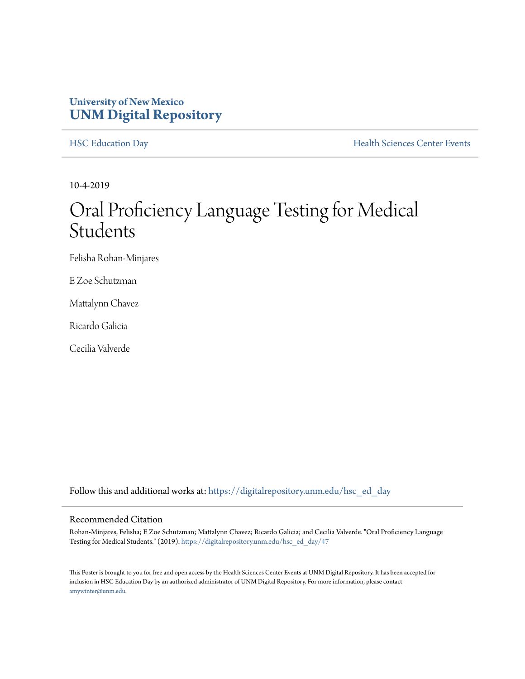#### **University of New Mexico [UNM Digital Repository](https://digitalrepository.unm.edu/?utm_source=digitalrepository.unm.edu%2Fhsc_ed_day%2F47&utm_medium=PDF&utm_campaign=PDFCoverPages)**

[HSC Education Day](https://digitalrepository.unm.edu/hsc_ed_day?utm_source=digitalrepository.unm.edu%2Fhsc_ed_day%2F47&utm_medium=PDF&utm_campaign=PDFCoverPages) **[Health Sciences Center Events](https://digitalrepository.unm.edu/hsc_events?utm_source=digitalrepository.unm.edu%2Fhsc_ed_day%2F47&utm_medium=PDF&utm_campaign=PDFCoverPages)** 

10-4-2019

#### Oral Proficiency Language Testing for Medical Students

Felisha Rohan-Minjares

E Zoe Schutzman

Mattalynn Chavez

Ricardo Galicia

Cecilia Valverde

Follow this and additional works at: [https://digitalrepository.unm.edu/hsc\\_ed\\_day](https://digitalrepository.unm.edu/hsc_ed_day?utm_source=digitalrepository.unm.edu%2Fhsc_ed_day%2F47&utm_medium=PDF&utm_campaign=PDFCoverPages)

#### Recommended Citation

Rohan-Minjares, Felisha; E Zoe Schutzman; Mattalynn Chavez; Ricardo Galicia; and Cecilia Valverde. "Oral Proficiency Language Testing for Medical Students." (2019). [https://digitalrepository.unm.edu/hsc\\_ed\\_day/47](https://digitalrepository.unm.edu/hsc_ed_day/47?utm_source=digitalrepository.unm.edu%2Fhsc_ed_day%2F47&utm_medium=PDF&utm_campaign=PDFCoverPages)

This Poster is brought to you for free and open access by the Health Sciences Center Events at UNM Digital Repository. It has been accepted for inclusion in HSC Education Day by an authorized administrator of UNM Digital Repository. For more information, please contact [amywinter@unm.edu](mailto:amywinter@unm.edu).